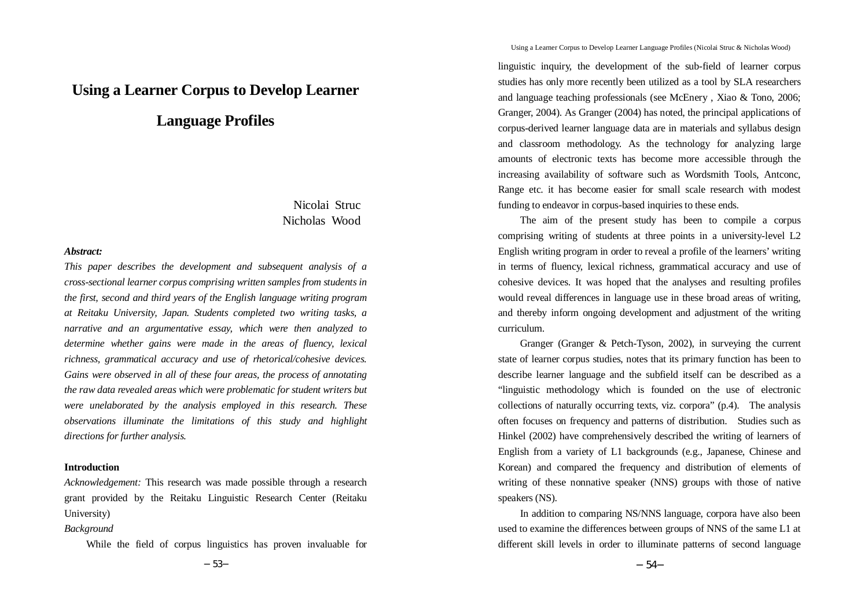# **Using a Learner Corpus to Develop Learner**

# **Language Profiles**

# Nicolai Struc Nicholas Wood

# *Abstract:*

*This paper describes the development and subsequent analysis of a cross-sectional learner corpus comprising written samples from students in the first, second and third years of the English language writing program at Reitaku University, Japan. Students completed two writing tasks, a narrative and an argumentative essay, which were then analyzed to determine whether gains were made in the areas of fluency, lexical richness, grammatical accuracy and use of rhetorical/cohesive devices. Gains were observed in all of these four areas, the process of annotating the raw data revealed areas which were problematic for student writers but were unelaborated by the analysis employed in this research. These observations illuminate the limitations of this study and highlight directions for further analysis.*

# **Introduction**

*Acknowledgement:* This research was made possible through a research grant provided by the Reitaku Linguistic Research Center (Reitaku University)

### *Background*

While the field of corpus linguistics has proven invaluable for

Using a Learner Corpus to Develop Learner Language Profiles (Nicolai Struc & Nicholas Wood)

linguistic inquiry, the development of the sub-field of learner corpus studies has only more recently been utilized as a tool by SLA researchers and language teaching professionals (see McEnery , Xiao & Tono, 2006; Granger, 2004). As Granger (2004) has noted, the principal applications of corpus-derived learner language data are in materials and syllabus design and classroom methodology. As the technology for analyzing large amounts of electronic texts has become more accessible through the increasing availability of software such as Wordsmith Tools, Antconc, Range etc. it has become easier for small scale research with modest funding to endeavor in corpus-based inquiries to these ends.

The aim of the present study has been to compile a corpus comprising writing of students at three points in a university-level L2 English writing program in order to reveal a profile of the learners' writing in terms of fluency, lexical richness, grammatical accuracy and use of cohesive devices. It was hoped that the analyses and resulting profiles would reveal differences in language use in these broad areas of writing, and thereby inform ongoing development and adjustment of the writing curriculum.

Granger (Granger & Petch-Tyson, 2002), in surveying the current state of learner corpus studies, notes that its primary function has been to describe learner language and the subfield itself can be described as a "linguistic methodology which is founded on the use of electronic collections of naturally occurring texts, viz. corpora" (p.4). The analysis often focuses on frequency and patterns of distribution. Studies such as Hinkel (2002) have comprehensively described the writing of learners of English from a variety of L1 backgrounds (e.g., Japanese, Chinese and Korean) and compared the frequency and distribution of elements of writing of these nonnative speaker (NNS) groups with those of native speakers (NS).

In addition to comparing NS/NNS language, corpora have also been used to examine the differences between groups of NNS of the same L1 at different skill levels in order to illuminate patterns of second language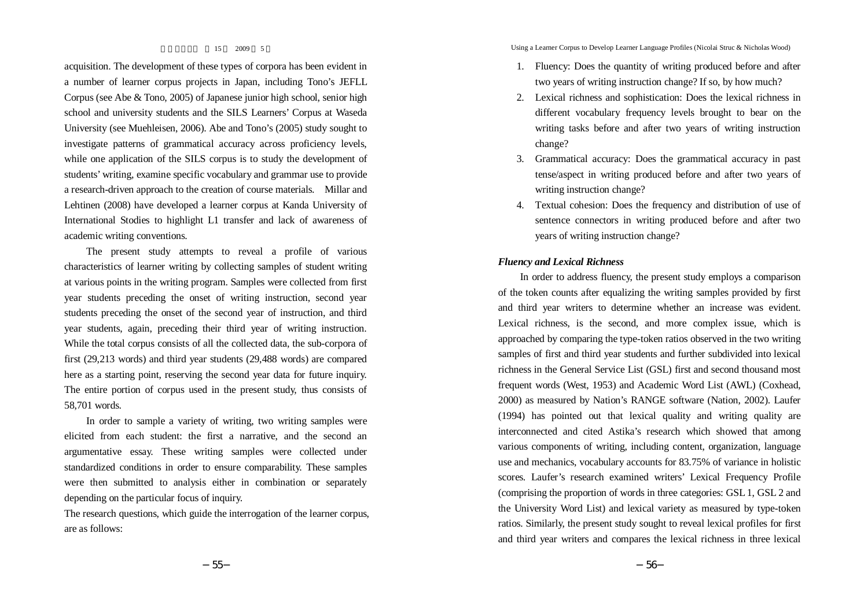acquisition. The development of these types of corpora has been evident in a number of learner corpus projects in Japan, including Tono's JEFLL Corpus (see Abe & Tono, 2005) of Japanese junior high school, senior high school and university students and the SILS Learners' Corpus at Waseda University (see Muehleisen, 2006). Abe and Tono's (2005) study sought to investigate patterns of grammatical accuracy across proficiency levels, while one application of the SILS corpus is to study the development of students' writing, examine specific vocabulary and grammar use to provide a research-driven approach to the creation of course materials. Millar and Lehtinen (2008) have developed a learner corpus at Kanda University of International Stodies to highlight L1 transfer and lack of awareness of academic writing conventions.

The present study attempts to reveal a profile of various characteristics of learner writing by collecting samples of student writing at various points in the writing program. Samples were collected from first year students preceding the onset of writing instruction, second year students preceding the onset of the second year of instruction, and third year students, again, preceding their third year of writing instruction. While the total corpus consists of all the collected data, the sub-corpora of first (29,213 words) and third year students (29,488 words) are compared here as a starting point, reserving the second year data for future inquiry. The entire portion of corpus used in the present study, thus consists of 58,701 words.

In order to sample a variety of writing, two writing samples were elicited from each student: the first a narrative, and the second an argumentative essay. These writing samples were collected under standardized conditions in order to ensure comparability. These samples were then submitted to analysis either in combination or separately depending on the particular focus of inquiry.

The research questions, which guide the interrogation of the learner corpus, are as follows:

Using a Learner Corpus to Develop Learner Language Profiles (Nicolai Struc & Nicholas Wood)

- 1. Fluency: Does the quantity of writing produced before and after two years of writing instruction change? If so, by how much?
- 2. Lexical richness and sophistication: Does the lexical richness in different vocabulary frequency levels brought to bear on the writing tasks before and after two years of writing instruction change?
- 3. Grammatical accuracy: Does the grammatical accuracy in past tense/aspect in writing produced before and after two years of writing instruction change?
- 4. Textual cohesion: Does the frequency and distribution of use of sentence connectors in writing produced before and after two years of writing instruction change?

# *Fluency and Lexical Richness*

In order to address fluency, the present study employs a comparison of the token counts after equalizing the writing samples provided by first and third year writers to determine whether an increase was evident. Lexical richness, is the second, and more complex issue, which is approached by comparing the type-token ratios observed in the two writing samples of first and third year students and further subdivided into lexical richness in the General Service List (GSL) first and second thousand most frequent words (West, 1953) and Academic Word List (AWL) (Coxhead, 2000) as measured by Nation's RANGE software (Nation, 2002). Laufer (1994) has pointed out that lexical quality and writing quality are interconnected and cited Astika's research which showed that among various components of writing, including content, organization, language use and mechanics, vocabulary accounts for 83.75% of variance in holistic scores. Laufer's research examined writers' Lexical Frequency Profile (comprising the proportion of words in three categories: GSL 1, GSL 2 and the University Word List) and lexical variety as measured by type-token ratios. Similarly, the present study sought to reveal lexical profiles for first and third year writers and compares the lexical richness in three lexical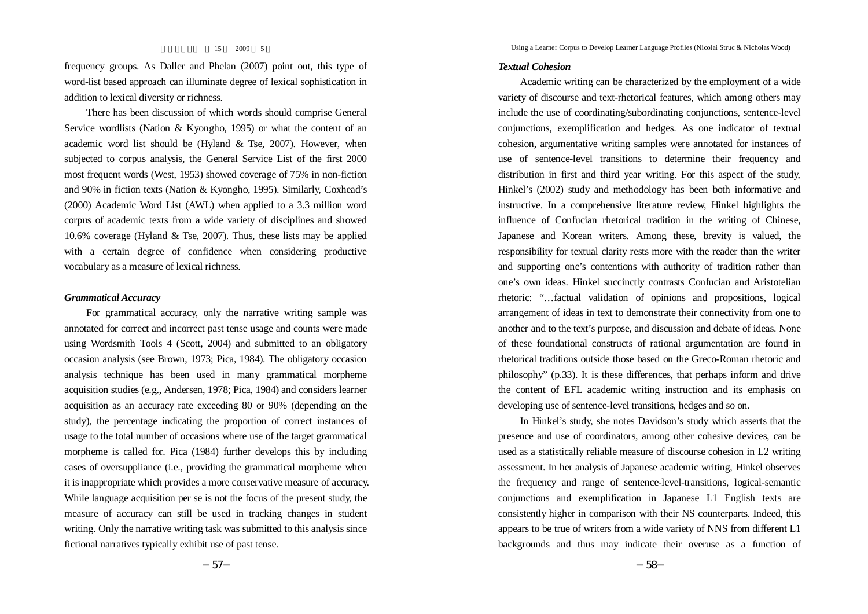frequency groups. As Daller and Phelan (2007) point out, this type of word-list based approach can illuminate degree of lexical sophistication in addition to lexical diversity or richness.

There has been discussion of which words should comprise General Service wordlists (Nation & Kyongho, 1995) or what the content of an academic word list should be (Hyland & Tse, 2007). However, when subjected to corpus analysis, the General Service List of the first 2000 most frequent words (West, 1953) showed coverage of 75% in non-fiction and 90% in fiction texts (Nation & Kyongho, 1995). Similarly, Coxhead's (2000) Academic Word List (AWL) when applied to a 3.3 million word corpus of academic texts from a wide variety of disciplines and showed 10.6% coverage (Hyland & Tse, 2007). Thus, these lists may be applied with a certain degree of confidence when considering productive vocabulary as a measure of lexical richness.

# *Grammatical Accuracy*

For grammatical accuracy, only the narrative writing sample was annotated for correct and incorrect past tense usage and counts were made using Wordsmith Tools 4 (Scott, 2004) and submitted to an obligatory occasion analysis (see Brown, 1973; Pica, 1984). The obligatory occasion analysis technique has been used in many grammatical morpheme acquisition studies (e.g., Andersen, 1978; Pica, 1984) and considers learner acquisition as an accuracy rate exceeding 80 or 90% (depending on the study), the percentage indicating the proportion of correct instances of usage to the total number of occasions where use of the target grammatical morpheme is called for. Pica (1984) further develops this by including cases of oversuppliance (i.e., providing the grammatical morpheme when it is inappropriate which provides a more conservative measure of accuracy. While language acquisition per se is not the focus of the present study, the measure of accuracy can still be used in tracking changes in student writing. Only the narrative writing task was submitted to this analysis since fictional narratives typically exhibit use of past tense.

Using a Learner Corpus to Develop Learner Language Profiles (Nicolai Struc & Nicholas Wood)

### *Textual Cohesion*

Academic writing can be characterized by the employment of a wide variety of discourse and text-rhetorical features, which among others may include the use of coordinating/subordinating conjunctions, sentence-level conjunctions, exemplification and hedges. As one indicator of textual cohesion, argumentative writing samples were annotated for instances of use of sentence-level transitions to determine their frequency and distribution in first and third year writing. For this aspect of the study, Hinkel's (2002) study and methodology has been both informative and instructive. In a comprehensive literature review, Hinkel highlights the influence of Confucian rhetorical tradition in the writing of Chinese, Japanese and Korean writers. Among these, brevity is valued, the responsibility for textual clarity rests more with the reader than the writer and supporting one's contentions with authority of tradition rather than one's own ideas. Hinkel succinctly contrasts Confucian and Aristotelian rhetoric: "…factual validation of opinions and propositions, logical arrangement of ideas in text to demonstrate their connectivity from one to another and to the text's purpose, and discussion and debate of ideas. None of these foundational constructs of rational argumentation are found in rhetorical traditions outside those based on the Greco-Roman rhetoric and philosophy" (p.33). It is these differences, that perhaps inform and drive the content of EFL academic writing instruction and its emphasis on developing use of sentence-level transitions, hedges and so on.

In Hinkel's study, she notes Davidson's study which asserts that the presence and use of coordinators, among other cohesive devices, can be used as a statistically reliable measure of discourse cohesion in L2 writing assessment. In her analysis of Japanese academic writing, Hinkel observes the frequency and range of sentence-level-transitions, logical-semantic conjunctions and exemplification in Japanese L1 English texts are consistently higher in comparison with their NS counterparts. Indeed, this appears to be true of writers from a wide variety of NNS from different L1 backgrounds and thus may indicate their overuse as a function of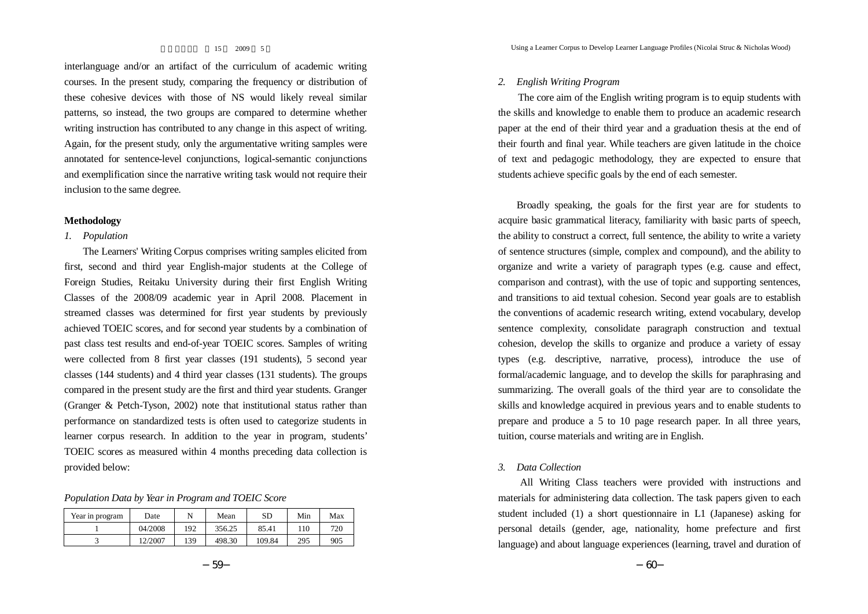interlanguage and/or an artifact of the curriculum of academic writing courses. In the present study, comparing the frequency or distribution of these cohesive devices with those of NS would likely reveal similar patterns, so instead, the two groups are compared to determine whether writing instruction has contributed to any change in this aspect of writing. Again, for the present study, only the argumentative writing samples were annotated for sentence-level conjunctions, logical-semantic conjunctions and exemplification since the narrative writing task would not require their inclusion to the same degree.

# **Methodology**

# *1. Population*

The Learners' Writing Corpus comprises writing samples elicited from first, second and third year English-major students at the College of Foreign Studies, Reitaku University during their first English Writing Classes of the 2008/09 academic year in April 2008. Placement in streamed classes was determined for first year students by previously achieved TOEIC scores, and for second year students by a combination of past class test results and end-of-year TOEIC scores. Samples of writing were collected from 8 first year classes (191 students), 5 second year classes (144 students) and 4 third year classes (131 students). The groups compared in the present study are the first and third year students. Granger (Granger & Petch-Tyson, 2002) note that institutional status rather than performance on standardized tests is often used to categorize students in learner corpus research. In addition to the year in program, students' TOEIC scores as measured within 4 months preceding data collection is provided below:

*Population Data by Year in Program and TOEIC Score*

| Year in program | Date    |     | Mean   | SD     | Min | Max |
|-----------------|---------|-----|--------|--------|-----|-----|
|                 | 04/2008 | 192 | 356.25 | 85.41  | 110 | 720 |
|                 | 12/2007 | 139 | 498.30 | 109.84 | 295 | 905 |

# *2. English Writing Program*

The core aim of the English writing program is to equip students with the skills and knowledge to enable them to produce an academic research paper at the end of their third year and a graduation thesis at the end of their fourth and final year. While teachers are given latitude in the choice of text and pedagogic methodology, they are expected to ensure that students achieve specific goals by the end of each semester.

Broadly speaking, the goals for the first year are for students to acquire basic grammatical literacy, familiarity with basic parts of speech, the ability to construct a correct, full sentence, the ability to write a variety of sentence structures (simple, complex and compound), and the ability to organize and write a variety of paragraph types (e.g. cause and effect, comparison and contrast), with the use of topic and supporting sentences, and transitions to aid textual cohesion. Second year goals are to establish the conventions of academic research writing, extend vocabulary, develop sentence complexity, consolidate paragraph construction and textual cohesion, develop the skills to organize and produce a variety of essay types (e.g. descriptive, narrative, process), introduce the use of formal/academic language, and to develop the skills for paraphrasing and summarizing. The overall goals of the third year are to consolidate the skills and knowledge acquired in previous years and to enable students to prepare and produce a 5 to 10 page research paper. In all three years, tuition, course materials and writing are in English.

# *3. Data Collection*

All Writing Class teachers were provided with instructions and materials for administering data collection. The task papers given to each student included (1) a short questionnaire in L1 (Japanese) asking for personal details (gender, age, nationality, home prefecture and first language) and about language experiences (learning, travel and duration of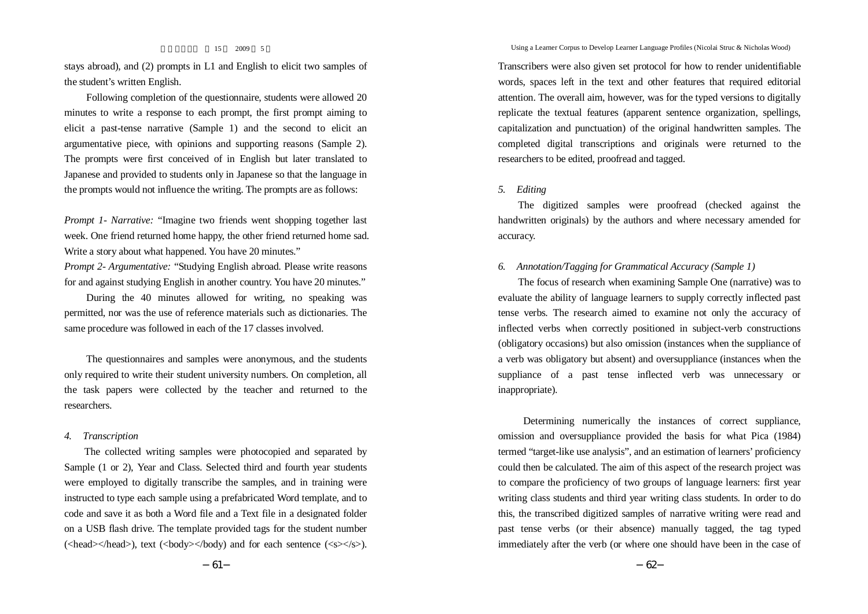stays abroad), and (2) prompts in L1 and English to elicit two samples of the student's written English.

Following completion of the questionnaire, students were allowed 20 minutes to write a response to each prompt, the first prompt aiming to elicit a past-tense narrative (Sample 1) and the second to elicit an argumentative piece, with opinions and supporting reasons (Sample 2). The prompts were first conceived of in English but later translated to Japanese and provided to students only in Japanese so that the language in the prompts would not influence the writing. The prompts are as follows:

*Prompt 1- Narrative:* "Imagine two friends went shopping together last week. One friend returned home happy, the other friend returned home sad. Write a story about what happened. You have 20 minutes."

*Prompt 2- Argumentative:* "Studying English abroad. Please write reasons for and against studying English in another country. You have 20 minutes."

During the 40 minutes allowed for writing, no speaking was permitted, nor was the use of reference materials such as dictionaries. The same procedure was followed in each of the 17 classes involved.

The questionnaires and samples were anonymous, and the students only required to write their student university numbers. On completion, all the task papers were collected by the teacher and returned to the researchers.

# *4. Transcription*

The collected writing samples were photocopied and separated by Sample (1 or 2), Year and Class. Selected third and fourth year students were employed to digitally transcribe the samples, and in training were instructed to type each sample using a prefabricated Word template, and to code and save it as both a Word file and a Text file in a designated folder on a USB flash drive. The template provided tags for the student number  $(\text{})$ , text  $(\text{<}$ /body) and for each sentence  $(\text{~~<}\text{<}s\text{)}.~~$ 

Transcribers were also given set protocol for how to render unidentifiable words, spaces left in the text and other features that required editorial attention. The overall aim, however, was for the typed versions to digitally replicate the textual features (apparent sentence organization, spellings, capitalization and punctuation) of the original handwritten samples. The completed digital transcriptions and originals were returned to the researchers to be edited, proofread and tagged.

# *5. Editing*

The digitized samples were proofread (checked against the handwritten originals) by the authors and where necessary amended for accuracy.

# *6. Annotation/Tagging for Grammatical Accuracy (Sample 1)*

The focus of research when examining Sample One (narrative) was to evaluate the ability of language learners to supply correctly inflected past tense verbs. The research aimed to examine not only the accuracy of inflected verbs when correctly positioned in subject-verb constructions (obligatory occasions) but also omission (instances when the suppliance of a verb was obligatory but absent) and oversuppliance (instances when the suppliance of a past tense inflected verb was unnecessary or inappropriate).

Determining numerically the instances of correct suppliance, omission and oversuppliance provided the basis for what Pica (1984) termed "target-like use analysis", and an estimation of learners' proficiency could then be calculated. The aim of this aspect of the research project was to compare the proficiency of two groups of language learners: first year writing class students and third year writing class students. In order to do this, the transcribed digitized samples of narrative writing were read and past tense verbs (or their absence) manually tagged, the tag typed immediately after the verb (or where one should have been in the case of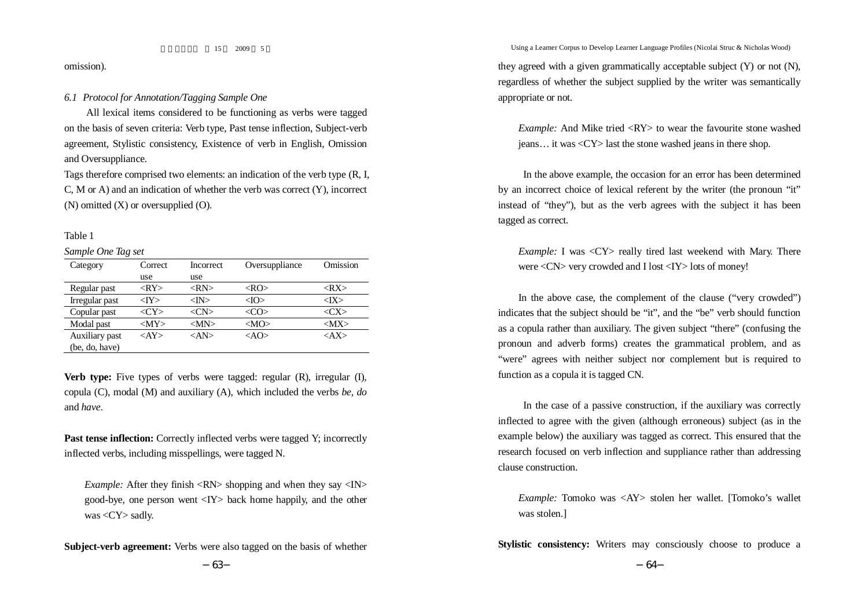omission).

# *6.1 Protocol for Annotation/Tagging Sample One*

All lexical items considered to be functioning as verbs were tagged on the basis of seven criteria: Verb type, Past tense inflection, Subject-verb agreement, Stylistic consistency, Existence of verb in English, Omission and Oversuppliance.

Tags therefore comprised two elements: an indication of the verb type (R, I, C, M or A) and an indication of whether the verb was correct (Y), incorrect  $(N)$  omitted  $(X)$  or oversupplied  $(O)$ .

### Table 1

*Sample One Tag set*

| Category       | Correct              | Incorrect            | Oversuppliance | Omission             |
|----------------|----------------------|----------------------|----------------|----------------------|
|                | use                  | use                  |                |                      |
| Regular past   | $<$ RY>              | $\langle RN \rangle$ | $<\Omega$      | $<$ RX $>$           |
| Irregular past | $<$ IY $>$           | $<\!\!M\!\!>$        | $<$ IO $>$     | $<$ IX $>$           |
| Copular past   | $\langle CY \rangle$ | $\langle CN \rangle$ | $<$ CO $>$     | $\langle CX \rangle$ |
| Modal past     | $ MY\rangle$         | $ MN\rangle$         | $<\!\!MO\!\!>$ | $ MX\rangle$         |
| Auxiliary past | $<$ AY>              | $<\!\!AND\!\!>$      | $<$ AO>        | $<$ AX $>$           |
| (be, do, have) |                      |                      |                |                      |

**Verb type:** Five types of verbs were tagged: regular (R), irregular (I), copula (C), modal (M) and auxiliary (A), which included the verbs *be*, *do* and *have*.

**Past tense inflection:** Correctly inflected verbs were tagged Y; incorrectly inflected verbs, including misspellings, were tagged N.

*Example:* After they finish <RN> shopping and when they say <IN> good-bye, one person went <IY> back home happily, and the other was <CY> sadly.

**Subject-verb agreement:** Verbs were also tagged on the basis of whether

Using a Learner Corpus to Develop Learner Language Profiles (Nicolai Struc & Nicholas Wood)

they agreed with a given grammatically acceptable subject  $(Y)$  or not  $(N)$ . regardless of whether the subject supplied by the writer was semantically appropriate or not.

*Example:* And Mike tried <RY> to wear the favourite stone washed jeans… it was <CY> last the stone washed jeans in there shop.

In the above example, the occasion for an error has been determined by an incorrect choice of lexical referent by the writer (the pronoun "it" instead of "they"), but as the verb agrees with the subject it has been tagged as correct.

*Example:* I was <CY> really tired last weekend with Mary. There were <CN> very crowded and I lost <IY> lots of money!

In the above case, the complement of the clause ("very crowded") indicates that the subject should be "it", and the "be" verb should function as a copula rather than auxiliary. The given subject "there" (confusing the pronoun and adverb forms) creates the grammatical problem, and as "were" agrees with neither subject nor complement but is required to function as a copula it is tagged CN.

In the case of a passive construction, if the auxiliary was correctly inflected to agree with the given (although erroneous) subject (as in the example below) the auxiliary was tagged as correct. This ensured that the research focused on verb inflection and suppliance rather than addressing clause construction.

*Example:* Tomoko was <AY> stolen her wallet. [Tomoko's wallet was stolen.]

**Stylistic consistency:** Writers may consciously choose to produce a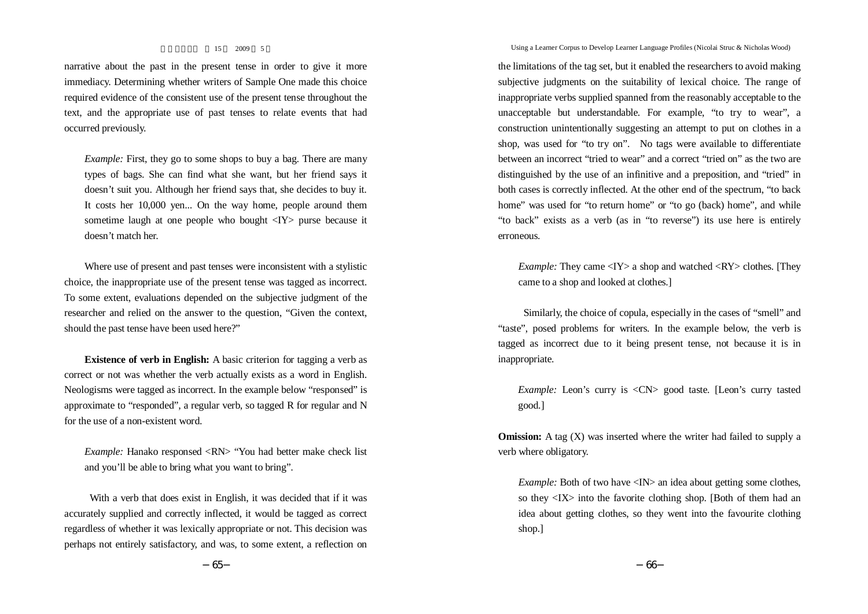narrative about the past in the present tense in order to give it more immediacy. Determining whether writers of Sample One made this choice required evidence of the consistent use of the present tense throughout the text, and the appropriate use of past tenses to relate events that had occurred previously.

*Example:* First, they go to some shops to buy a bag. There are many types of bags. She can find what she want, but her friend says it doesn't suit you. Although her friend says that, she decides to buy it. It costs her 10,000 yen... On the way home, people around them sometime laugh at one people who bought <IY> purse because it doesn't match her.

Where use of present and past tenses were inconsistent with a stylistic choice, the inappropriate use of the present tense was tagged as incorrect. To some extent, evaluations depended on the subjective judgment of the researcher and relied on the answer to the question, "Given the context, should the past tense have been used here?"

**Existence of verb in English:** A basic criterion for tagging a verb as correct or not was whether the verb actually exists as a word in English. Neologisms were tagged as incorrect. In the example below "responsed" is approximate to "responded", a regular verb, so tagged R for regular and N for the use of a non-existent word.

*Example:* Hanako responsed <RN> "You had better make check list and you'll be able to bring what you want to bring".

With a verb that does exist in English, it was decided that if it was accurately supplied and correctly inflected, it would be tagged as correct regardless of whether it was lexically appropriate or not. This decision was perhaps not entirely satisfactory, and was, to some extent, a reflection on

Using a Learner Corpus to Develop Learner Language Profiles (Nicolai Struc & Nicholas Wood)

the limitations of the tag set, but it enabled the researchers to avoid making subjective judgments on the suitability of lexical choice. The range of inappropriate verbs supplied spanned from the reasonably acceptable to the unacceptable but understandable. For example, "to try to wear", a construction unintentionally suggesting an attempt to put on clothes in a shop, was used for "to try on". No tags were available to differentiate between an incorrect "tried to wear" and a correct "tried on" as the two are distinguished by the use of an infinitive and a preposition, and "tried" in both cases is correctly inflected. At the other end of the spectrum, "to back home" was used for "to return home" or "to go (back) home", and while "to back" exists as a verb (as in "to reverse") its use here is entirely erroneous.

*Example:* They came <IY> a shop and watched <RY> clothes. [They came to a shop and looked at clothes.]

Similarly, the choice of copula, especially in the cases of "smell" and "taste", posed problems for writers. In the example below, the verb is tagged as incorrect due to it being present tense, not because it is in inappropriate.

*Example:* Leon's curry is <CN> good taste. [Leon's curry tasted good.]

**Omission:** A tag (X) was inserted where the writer had failed to supply a verb where obligatory.

*Example:* Both of two have <IN> an idea about getting some clothes, so they <IX> into the favorite clothing shop. [Both of them had an idea about getting clothes, so they went into the favourite clothing shop.]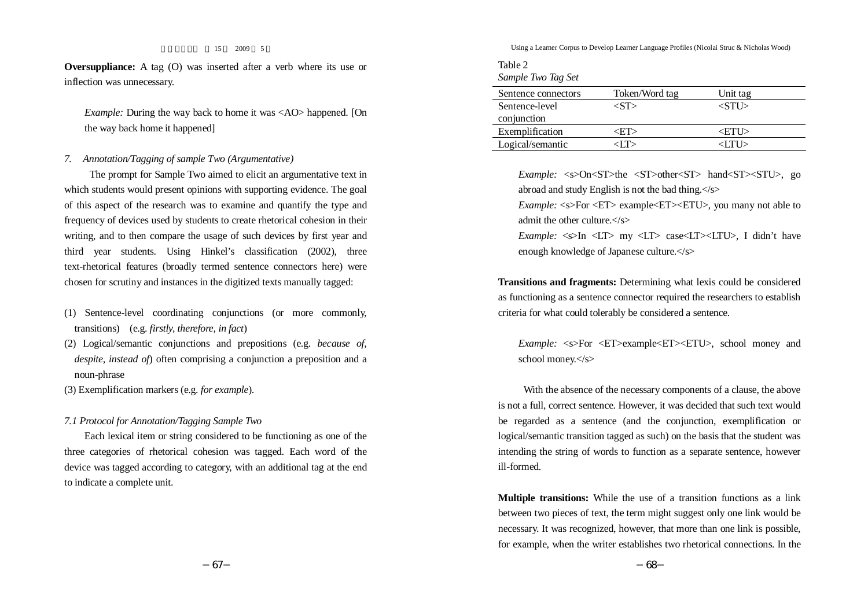**Oversuppliance:** A tag (O) was inserted after a verb where its use or inflection was unnecessary.

*Example:* During the way back to home it was <AO> happened. [On the way back home it happened]

# *7. Annotation/Tagging of sample Two (Argumentative)*

The prompt for Sample Two aimed to elicit an argumentative text in which students would present opinions with supporting evidence. The goal of this aspect of the research was to examine and quantify the type and frequency of devices used by students to create rhetorical cohesion in their writing, and to then compare the usage of such devices by first year and third year students. Using Hinkel's classification (2002), three text-rhetorical features (broadly termed sentence connectors here) were chosen for scrutiny and instances in the digitized texts manually tagged:

- (1) Sentence-level coordinating conjunctions (or more commonly, transitions) (e.g. *firstly, therefore, in fact*)
- (2) Logical/semantic conjunctions and prepositions (e.g. *because of, despite, instead of*) often comprising a conjunction a preposition and a noun-phrase
- (3) Exemplification markers (e.g. *for example*).

*7.1 Protocol for Annotation/Tagging Sample Two*

Each lexical item or string considered to be functioning as one of the three categories of rhetorical cohesion was tagged. Each word of the device was tagged according to category, with an additional tag at the end to indicate a complete unit.

Using a Learner Corpus to Develop Learner Language Profiles (Nicolai Struc & Nicholas Wood)

Table 2 *Sample Two Tag Set*

| Sentence connectors | Token/Word tag | Unit tag                |  |
|---------------------|----------------|-------------------------|--|
| Sentence-level      |                | $\langle S T L \rangle$ |  |
| conjunction         |                |                         |  |
| Exemplification     |                | <etu></etu>             |  |
| Logical/semantic    |                | 21 T I S                |  |

*Example:* <s>On<ST>the <ST>other<ST> hand<ST><STU>, go abroad and study English is not the bad thing.</s>

*Example:* <s>For <ET> example<ET><ETU>, you many not able to admit the other culture.</s>

*Example:* <s>In <LT> my <LT> case<LT><LTU>, I didn't have enough knowledge of Japanese culture.</s>

**Transitions and fragments:** Determining what lexis could be considered as functioning as a sentence connector required the researchers to establish criteria for what could tolerably be considered a sentence.

*Example:* <s>For <ET>example<ET><ETU>, school money and school money.</s>

With the absence of the necessary components of a clause, the above is not a full, correct sentence. However, it was decided that such text would be regarded as a sentence (and the conjunction, exemplification or logical/semantic transition tagged as such) on the basis that the student was intending the string of words to function as a separate sentence, however ill-formed.

**Multiple transitions:** While the use of a transition functions as a link between two pieces of text, the term might suggest only one link would be necessary. It was recognized, however, that more than one link is possible, for example, when the writer establishes two rhetorical connections. In the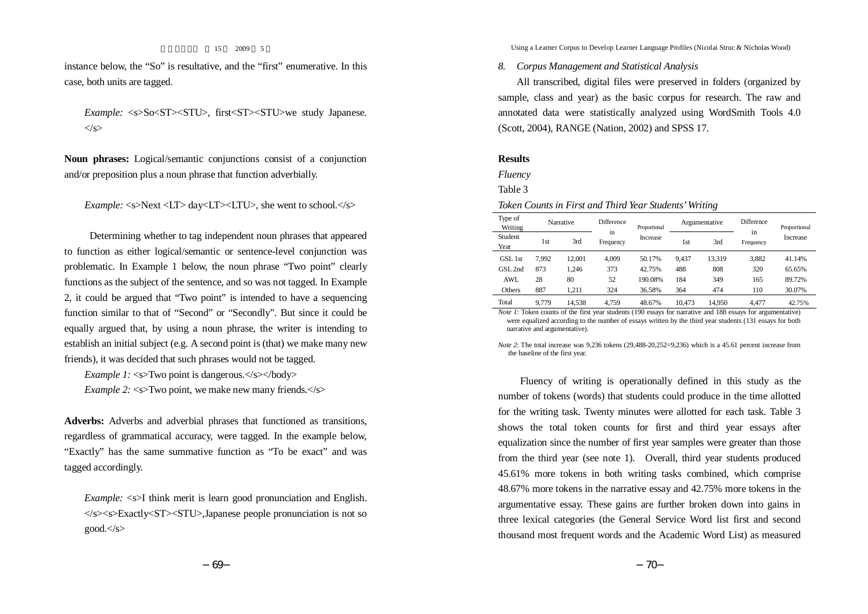instance below, the "So" is resultative, and the "first" enumerative. In this case, both units are tagged.

*Example:* <s>So<ST><STU>, first<ST><STU>we study Japanese.  $\langle$ s>

**Noun phrases:** Logical/semantic conjunctions consist of a conjunction and/or preposition plus a noun phrase that function adverbially.

*Example:* <s>Next <LT> day<LT><LTU>, she went to school.</s>

Determining whether to tag independent noun phrases that appeared to function as either logical/semantic or sentence-level conjunction was problematic. In Example 1 below, the noun phrase "Two point" clearly functions as the subject of the sentence, and so was not tagged. In Example 2, it could be argued that "Two point" is intended to have a sequencing function similar to that of "Second" or "Secondly". But since it could be equally argued that, by using a noun phrase, the writer is intending to establish an initial subject (e.g. A second point is (that) we make many new friends), it was decided that such phrases would not be tagged.

*Example 1:* <s>Two point is dangerous.</s></body> *Example* 2:  $\langle$ s>Two point, we make new many friends. $\langle$ s>

**Adverbs:** Adverbs and adverbial phrases that functioned as transitions, regardless of grammatical accuracy, were tagged. In the example below, "Exactly" has the same summative function as "To be exact" and was tagged accordingly.

*Example:* <s>I think merit is learn good pronunciation and English. </s><s>Exactly<ST><STU>,Japanese people pronunciation is not so  $good.<\!\!\!\!\!\!\langle$ s>

Using a Learner Corpus to Develop Learner Language Profiles (Nicolai Struc & Nicholas Wood)

# *8. Corpus Management and Statistical Analysis*

All transcribed, digital files were preserved in folders (organized by sample, class and year) as the basic corpus for research. The raw and annotated data were statistically analyzed using WordSmith Tools 4.0 (Scott, 2004), RANGE (Nation, 2002) and SPSS 17.

### **Results**

*Fluency*

Table 3

## *Token Counts in First and Third Year Students'Writing*

| Type of<br>Writing |       | Narrative | Difference<br>٠. | Proportional |        | Argumentative | <b>Difference</b> | Proportional<br>Increase |
|--------------------|-------|-----------|------------------|--------------|--------|---------------|-------------------|--------------------------|
| Student<br>Year    | l st  | 3rd       | in<br>Frequency  | Increase     | 1st    | 3rd           | in<br>Frequency   |                          |
| GSL 1st            | 7.992 | 12.001    | 4.009            | 50.17%       | 9.437  | 13.319        | 3,882             | 41.14%                   |
| GSL 2nd            | 873   | 1.246     | 373              | 42.75%       | 488    | 808           | 320               | 65.65%                   |
| AWL                | 28    | 80        | 52               | 190.08%      | 184    | 349           | 165               | 89.72%                   |
| Others             | 887   | 1.211     | 324              | 36.58%       | 364    | 474           | 110               | 30.07%                   |
| Total              | 9.779 | 14.538    | 4.759            | 48.67%       | 10.473 | 14.950        | 4.477             | 42.75%                   |

*Note* 1: Token counts of the first year students (190 essays for narrative and 188 essays for argumentative) were equalized according to the number of essays written by the third year students (131 essays for both narrative and argumentative).

*Note* 2: The total increase was 9,236 tokens (29,488-20,252=9,236) which is a 45.61 percent increase from the baseline of the first year.

Fluency of writing is operationally defined in this study as the number of tokens (words) that students could produce in the time allotted for the writing task. Twenty minutes were allotted for each task. Table 3 shows the total token counts for first and third year essays after equalization since the number of first year samples were greater than those from the third year (see note 1). Overall, third year students produced 45.61% more tokens in both writing tasks combined, which comprise 48.67% more tokens in the narrative essay and 42.75% more tokens in the argumentative essay. These gains are further broken down into gains in three lexical categories (the General Service Word list first and second thousand most frequent words and the Academic Word List) as measured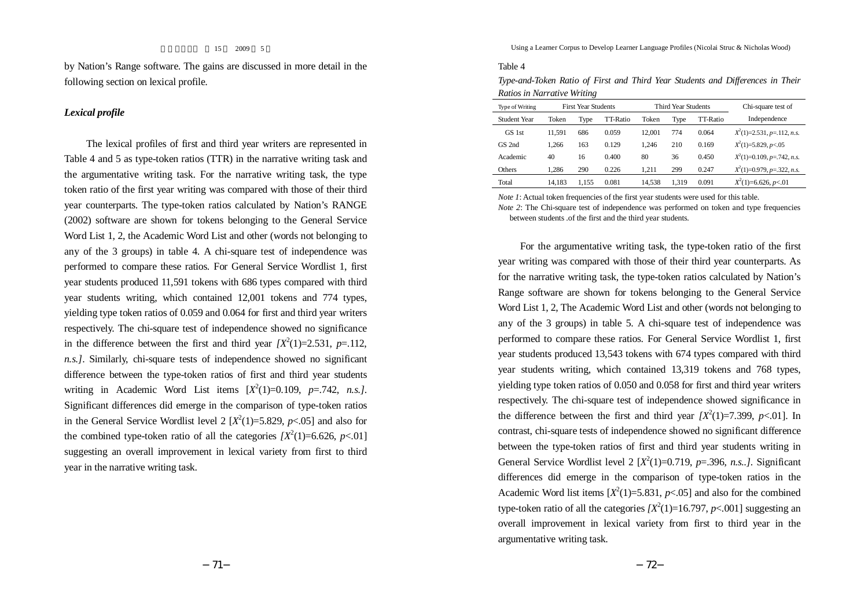by Nation's Range software. The gains are discussed in more detail in the following section on lexical profile.

# *Lexical profile*

The lexical profiles of first and third year writers are represented in Table 4 and 5 as type-token ratios (TTR) in the narrative writing task and the argumentative writing task. For the narrative writing task, the type token ratio of the first year writing was compared with those of their third year counterparts. The type-token ratios calculated by Nation's RANGE (2002) software are shown for tokens belonging to the General Service Word List 1, 2, the Academic Word List and other (words not belonging to any of the 3 groups) in table 4. A chi-square test of independence was performed to compare these ratios. For General Service Wordlist 1, first year students produced 11,591 tokens with 686 types compared with third year students writing, which contained 12,001 tokens and 774 types, yielding type token ratios of 0.059 and 0.064 for first and third year writers respectively. The chi-square test of independence showed no significance in the difference between the first and third year  $IX^2(1)=2.531$ ,  $p=.112$ , *n.s.]*. Similarly, chi-square tests of independence showed no significant difference between the type-token ratios of first and third year students writing in Academic Word List items  $[X^2(1)=0.109, p=.742, n.s.$ Significant differences did emerge in the comparison of type-token ratios in the General Service Wordlist level 2  $[X^2(1)=5.829, p<.05]$  and also for the combined type-token ratio of all the categories  $[X^2(1)=6.626, p<.01]$ suggesting an overall improvement in lexical variety from first to third year in the narrative writing task.

Using a Learner Corpus to Develop Learner Language Profiles (Nicolai Struc & Nicholas Wood)

#### Table 4

*Type-and-Token Ratio of First and Third Year Students and Differences in Their Ratios in Narrative Writing*

| Type of Writing | <b>First Year Students</b> |       |          |        | Third Year Students |          | Chi-square test of           |
|-----------------|----------------------------|-------|----------|--------|---------------------|----------|------------------------------|
| Student Year    | Token                      | Type  | TT-Ratio | Token  | Type                | TT-Ratio | Independence                 |
| GS 1st          | 11.591                     | 686   | 0.059    | 12.001 | 774                 | 0.064    | $X^2(1)=2.531, p=.112, n.s.$ |
| GS 2nd          | 1.266                      | 163   | 0.129    | 1.246  | 210                 | 0.169    | $X^2(1)=5.829, p<0.5$        |
| Academic        | 40                         | 16    | 0.400    | 80     | 36                  | 0.450    | $X^2(1)=0.109, p=.742, n.s.$ |
| <b>Others</b>   | 1.286                      | 290   | 0.226    | 1.211  | 299                 | 0.247    | $X^2(1)=0.979, p=.322, n.s.$ |
| Total           | 14.183                     | 1.155 | 0.081    | 14.538 | 1.319               | 0.091    | $X^2(1)=6.626, p<0.1$        |

*Note* 1: Actual token frequencies of the first year students were used for this table.

*Note* 2: The Chi-square test of independence was performed on token and type frequencies between students .of the first and the third year students.

For the argumentative writing task, the type-token ratio of the first year writing was compared with those of their third year counterparts. As for the narrative writing task, the type-token ratios calculated by Nation's Range software are shown for tokens belonging to the General Service Word List 1, 2, The Academic Word List and other (words not belonging to any of the 3 groups) in table 5. A chi-square test of independence was performed to compare these ratios. For General Service Wordlist 1, first year students produced 13,543 tokens with 674 types compared with third year students writing, which contained 13,319 tokens and 768 types, yielding type token ratios of 0.050 and 0.058 for first and third year writers respectively. The chi-square test of independence showed significance in the difference between the first and third year  $[X^2(1)=7.399, p<.01]$ . In contrast, chi-square tests of independence showed no significant difference between the type-token ratios of first and third year students writing in General Service Wordlist level 2  $[X^2(1)=0.719, p=.396, n.s..]$ . Significant differences did emerge in the comparison of type-token ratios in the Academic Word list items  $[X^2(1)=5.831, p<0.05]$  and also for the combined type-token ratio of all the categories  $[X^2(1)=16.797, p<.001]$  suggesting an overall improvement in lexical variety from first to third year in the argumentative writing task.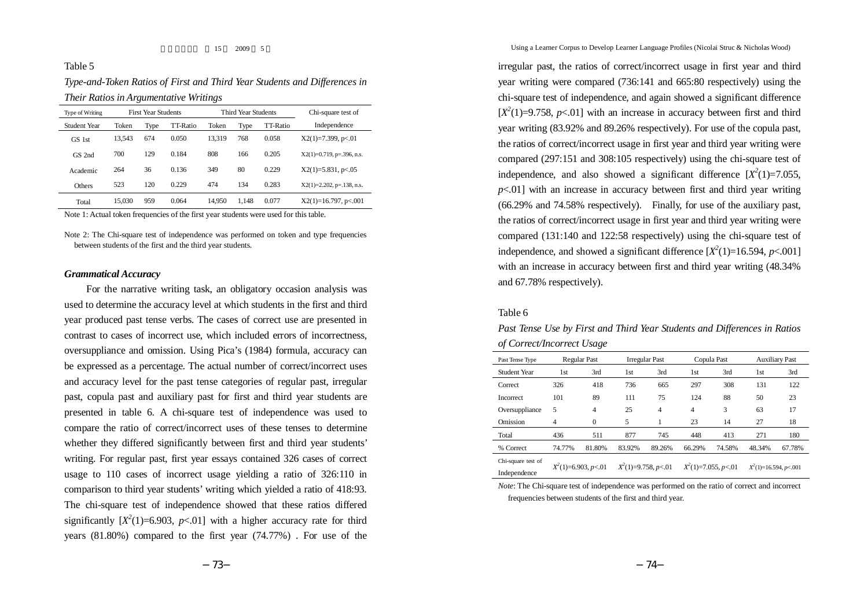# Table 5

*Type-and-Token Ratios of First and Third Year Students and Differences in Their Ratios in Argumentative Writings*

| Type of Writing | <b>First Year Students</b> |      |          |        | Third Year Students |          | Chi-square test of           |
|-----------------|----------------------------|------|----------|--------|---------------------|----------|------------------------------|
| Student Year    | Token                      | Type | TT-Ratio | Token  | Type                | TT-Ratio | Independence                 |
| GS 1st          | 13.543                     | 674  | 0.050    | 13.319 | 768                 | 0.058    | $X2(1)=7.399$ , p $< 01$     |
| GS 2nd          | 700                        | 129  | 0.184    | 808    | 166                 | 0.205    | $X2(1)=0.719$ , p=.396, n.s. |
| Academic        | 264                        | 36   | 0.136    | 349    | 80                  | 0.229    | $X2(1)=5.831, p<.05$         |
| <b>Others</b>   | 523                        | 120  | 0.229    | 474    | 134                 | 0.283    | $X2(1)=2.202$ , p=.138, n.s. |
| Total           | 15.030                     | 959  | 0.064    | 14,950 | 1.148               | 0.077    | $X2(1)=16.797$ , p $< 0.001$ |

Note 1: Actual token frequencies of the first year students were used for this table.

Note 2: The Chi-square test of independence was performed on token and type frequencies between students of the first and the third year students.

# *Grammatical Accuracy*

For the narrative writing task, an obligatory occasion analysis was used to determine the accuracy level at which students in the first and third year produced past tense verbs. The cases of correct use are presented in contrast to cases of incorrect use, which included errors of incorrectness, oversuppliance and omission. Using Pica's (1984) formula, accuracy can be expressed as a percentage. The actual number of correct/incorrect uses and accuracy level for the past tense categories of regular past, irregular past, copula past and auxiliary past for first and third year students are presented in table 6. A chi-square test of independence was used to compare the ratio of correct/incorrect uses of these tenses to determine whether they differed significantly between first and third year students' writing. For regular past, first year essays contained 326 cases of correct usage to 110 cases of incorrect usage yielding a ratio of 326:110 in comparison to third year students' writing which yielded a ratio of 418:93. The chi-square test of independence showed that these ratios differed significantly  $[X^2(1)=6.903, p<0.1]$  with a higher accuracy rate for third years (81.80%) compared to the first year (74.77%) . For use of the

irregular past, the ratios of correct/incorrect usage in first year and third year writing were compared (736:141 and 665:80 respectively) using the chi-square test of independence, and again showed a significant difference  $[X^2(1)=9.758, p<0.1]$  with an increase in accuracy between first and third year writing (83.92% and 89.26% respectively). For use of the copula past, the ratios of correct/incorrect usage in first year and third year writing were compared (297:151 and 308:105 respectively) using the chi-square test of independence, and also showed a significant difference  $[X^2(1)=7.055,$  $p<.01$ ] with an increase in accuracy between first and third year writing (66.29% and 74.58% respectively). Finally, for use of the auxiliary past, the ratios of correct/incorrect usage in first year and third year writing were compared (131:140 and 122:58 respectively) using the chi-square test of independence, and showed a significant difference  $[X^2(1)=16.594, p<.001]$ with an increase in accuracy between first and third year writing (48.34% and 67.78% respectively).

# Table 6

| ог согнестнисопест озаде           |                        |              |                        |        |                        |        |                         |        |  |
|------------------------------------|------------------------|--------------|------------------------|--------|------------------------|--------|-------------------------|--------|--|
| Past Tense Type                    | Regular Past           |              | <b>Irregular Past</b>  |        | Copula Past            |        | <b>Auxiliary Past</b>   |        |  |
| Student Year                       | 1st                    | 3rd          | 1st                    | 3rd    | 1st                    | 3rd    | 1st                     | 3rd    |  |
| Correct                            | 326                    | 418          | 736                    | 665    | 297                    | 308    | 131                     | 122    |  |
| <b>Incorrect</b>                   | 101                    | 89           | 111                    | 75     | 124                    | 88     | 50                      | 23     |  |
| Oversuppliance                     | 5                      | 4            | 25                     | 4      | $\overline{4}$         | 3      | 63                      | 17     |  |
| Omission                           | 4                      | $\mathbf{0}$ | 5                      |        | 23                     | 14     | 27                      | 18     |  |
| Total                              | 436                    | 511          | 877                    | 745    | 448                    | 413    | 271                     | 180    |  |
| % Correct                          | 74.77%                 | 81.80%       | 83.92%                 | 89.26% | 66.29%                 | 74.58% | 48.34%                  | 67.78% |  |
| Chi-square test of<br>Indenendence | $X^2(1)=6.903, p<0.01$ |              | $X^2(1)=9.758, p<0.01$ |        | $X^2(1)=7.055, p<0.01$ |        | $X^2(1)=16.594, p<.001$ |        |  |

*Past Tense Use by First and Third Year Students and Differences in Ratios of Correct/Incorrect Usage*

*Note*: The Chi-square test of independence was performed on the ratio of correct and incorrect frequencies between students of the first and third year.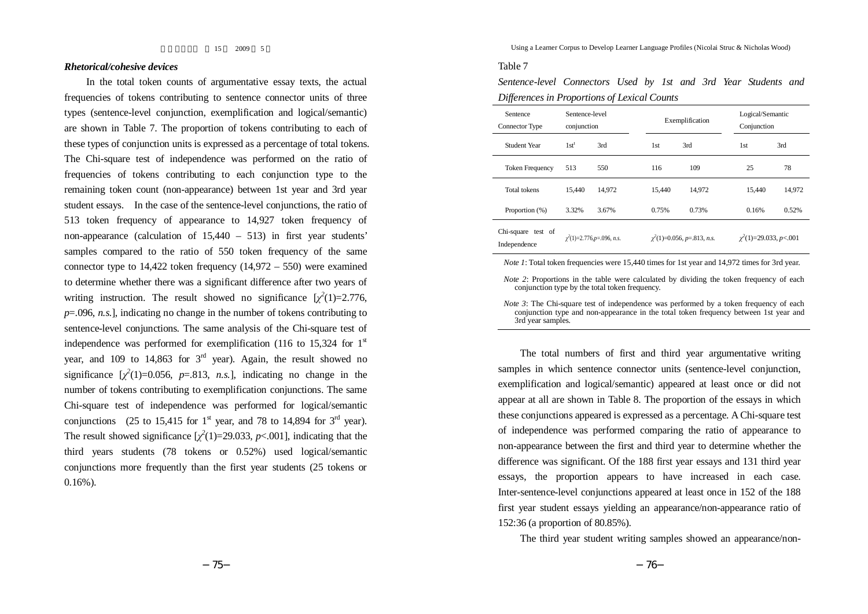## *Rhetorical/cohesive devices*

In the total token counts of argumentative essay texts, the actual frequencies of tokens contributing to sentence connector units of three types (sentence-level conjunction, exemplification and logical/semantic) are shown in Table 7. The proportion of tokens contributing to each of these types of conjunction units is expressed as a percentage of total tokens. The Chi-square test of independence was performed on the ratio of frequencies of tokens contributing to each conjunction type to the remaining token count (non-appearance) between 1st year and 3rd year student essays. In the case of the sentence-level conjunctions, the ratio of 513 token frequency of appearance to 14,927 token frequency of non-appearance (calculation of 15,440 – 513) in first year students' samples compared to the ratio of 550 token frequency of the same connector type to  $14,422$  token frequency  $(14,972 - 550)$  were examined to determine whether there was a significant difference after two years of writing instruction. The result showed no significance  $[\chi^2(1)=2.776$ , *p*=.096, *n.s.*], indicating no change in the number of tokens contributing to sentence-level conjunctions. The same analysis of the Chi-square test of independence was performed for exemplification (116 to 15,324 for  $1<sup>st</sup>$ year, and 109 to 14,863 for  $3<sup>rd</sup>$  year). Again, the result showed no significance  $[\chi^2(1)=0.056, p=.813, n.s.]$ , indicating no change in the number of tokens contributing to exemplification conjunctions. The same Chi-square test of independence was performed for logical/semantic conjunctions (25 to 15,415 for 1<sup>st</sup> year, and 78 to 14,894 for 3<sup>rd</sup> year). The result showed significance  $[\chi^2(1)=29.033, p<0.01]$ , indicating that the third years students (78 tokens or 0.52%) used logical/semantic conjunctions more frequently than the first year students (25 tokens or 0.16%).

Using a Learner Corpus to Develop Learner Language Profiles (Nicolai Struc & Nicholas Wood)

### Table 7

*Sentence-level Connectors Used by 1st and 3rd Year Students and Differences in Proportions of Lexical Counts*

| Sentence<br>Connector Type         | Sentence-level<br>conjunction    |        |            | Exemplification                  | Logical/Semantic<br>Conjunction |        |  |
|------------------------------------|----------------------------------|--------|------------|----------------------------------|---------------------------------|--------|--|
| Student Year                       | $1st^t$                          | 3rd    | 1st<br>3rd |                                  | 1st                             | 3rd    |  |
| <b>Token Frequency</b>             | 513                              | 550    | 116        | 109                              | 25                              | 78     |  |
| <b>Total tokens</b>                | 15.440                           | 14.972 | 15.440     | 14.972                           | 15.440                          | 14,972 |  |
| Proportion (%)                     | 3.32%                            | 3.67%  | 0.75%      | 0.73%                            | 0.16%                           | 0.52%  |  |
| Chi-square test of<br>Independence | $\chi^2(1)=2.776$ , p=.096, n.s. |        |            | $\chi^2(1)=0.056$ , p=.813, n.s. | $\chi^2(1)=29.033, p<.001$      |        |  |

*Note* 1: Total token frequencies were 15.440 times for 1st year and 14.972 times for 3rd year.

*Note* 2: Proportions in the table were calculated by dividing the token frequency of each conjunction type by the total token frequency.

*Note* 3: The Chi-square test of independence was performed by a token frequency of each conjunction type and non-appearance in the total token frequency between 1st year and 3rd year samples.

The total numbers of first and third year argumentative writing samples in which sentence connector units (sentence-level conjunction, exemplification and logical/semantic) appeared at least once or did not appear at all are shown in Table 8. The proportion of the essays in which these conjunctions appeared is expressed as a percentage. A Chi-square test of independence was performed comparing the ratio of appearance to non-appearance between the first and third year to determine whether the difference was significant. Of the 188 first year essays and 131 third year essays, the proportion appears to have increased in each case. Inter-sentence-level conjunctions appeared at least once in 152 of the 188 first year student essays yielding an appearance/non-appearance ratio of 152:36 (a proportion of 80.85%).

The third year student writing samples showed an appearance/non-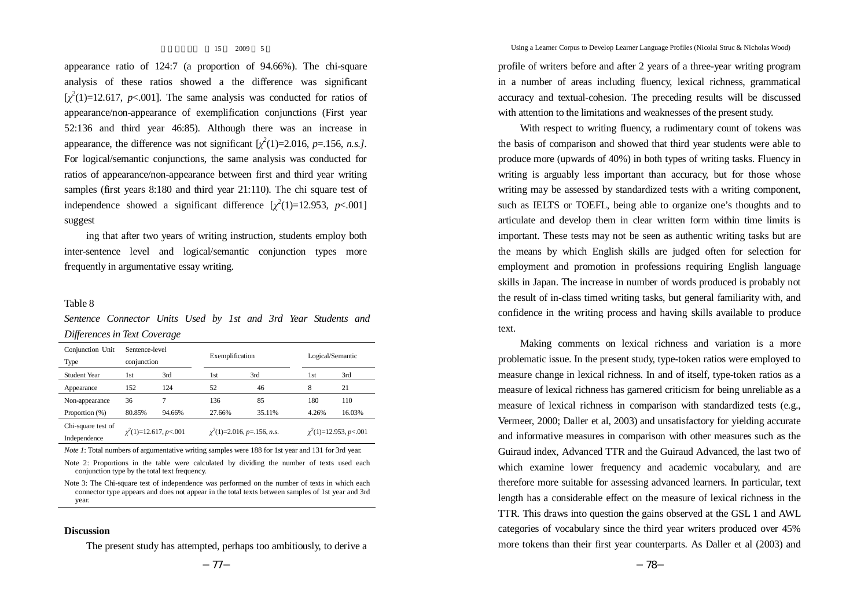appearance ratio of 124:7 (a proportion of 94.66%). The chi-square analysis of these ratios showed a the difference was significant  $[\chi^2(1)=12.617, p<.001]$ . The same analysis was conducted for ratios of appearance/non-appearance of exemplification conjunctions (First year 52:136 and third year 46:85). Although there was an increase in appearance, the difference was not significant  $[\chi^2(1)=2.016, p=.156, n.s.$ ]. For logical/semantic conjunctions, the same analysis was conducted for ratios of appearance/non-appearance between first and third year writing samples (first years 8:180 and third year 21:110). The chi square test of independence showed a significant difference  $[\chi^2(1)=12.953, p<.001]$ suggest

ing that after two years of writing instruction, students employ both inter-sentence level and logical/semantic conjunction types more frequently in argumentative essay writing.

# Table 8

*Sentence Connector Units Used by 1st and 3rd Year Students and Differences in Text Coverage*

| Conjunction Unit<br>Type           | Sentence-level<br>conjunction |        | Exemplification |                                 |       | Logical/Semantic           |  |  |
|------------------------------------|-------------------------------|--------|-----------------|---------------------------------|-------|----------------------------|--|--|
| Student Year                       | 3rd<br>1st                    |        | 1st             | 3rd                             | 1st   | 3rd                        |  |  |
| Appearance                         | 152                           | 124    | 52              | 46                              | 8     | 21                         |  |  |
| Non-appearance                     | 36                            |        | 136             | 85                              | 180   | 110                        |  |  |
| Proportion (%)                     | 80.85%                        | 94.66% | 27.66%          | 35.11%                          | 4.26% | 16.03%                     |  |  |
| Chi-square test of<br>Independence | $\chi^2(1)=12.617, p<.001$    |        |                 | $\chi^2(1)=2.016, p=.156, n.s.$ |       | $\chi^2(1)=12.953, p<.001$ |  |  |

*Note* 1: Total numbers of argumentative writing samples were 188 for 1st year and 131 for 3rd year.

Note 2: Proportions in the table were calculated by dividing the number of texts used each conjunction type by the total text frequency.

Note 3: The Chi-square test of independence was performed on the number of texts in which each connector type appears and does not appear in the total texts between samples of 1st year and 3rd year.

### **Discussion**

The present study has attempted, perhaps too ambitiously, to derive a

Using a Learner Corpus to Develop Learner Language Profiles (Nicolai Struc & Nicholas Wood)

profile of writers before and after 2 years of a three-year writing program in a number of areas including fluency, lexical richness, grammatical accuracy and textual-cohesion. The preceding results will be discussed with attention to the limitations and weaknesses of the present study.

With respect to writing fluency, a rudimentary count of tokens was the basis of comparison and showed that third year students were able to produce more (upwards of 40%) in both types of writing tasks. Fluency in writing is arguably less important than accuracy, but for those whose writing may be assessed by standardized tests with a writing component, such as IELTS or TOEFL, being able to organize one's thoughts and to articulate and develop them in clear written form within time limits is important. These tests may not be seen as authentic writing tasks but are the means by which English skills are judged often for selection for employment and promotion in professions requiring English language skills in Japan. The increase in number of words produced is probably not the result of in-class timed writing tasks, but general familiarity with, and confidence in the writing process and having skills available to produce text.

Making comments on lexical richness and variation is a more problematic issue. In the present study, type-token ratios were employed to measure change in lexical richness. In and of itself, type-token ratios as a measure of lexical richness has garnered criticism for being unreliable as a measure of lexical richness in comparison with standardized tests (e.g., Vermeer, 2000; Daller et al, 2003) and unsatisfactory for yielding accurate and informative measures in comparison with other measures such as the Guiraud index, Advanced TTR and the Guiraud Advanced, the last two of which examine lower frequency and academic vocabulary, and are therefore more suitable for assessing advanced learners. In particular, text length has a considerable effect on the measure of lexical richness in the TTR. This draws into question the gains observed at the GSL 1 and AWL categories of vocabulary since the third year writers produced over 45% more tokens than their first year counterparts. As Daller et al (2003) and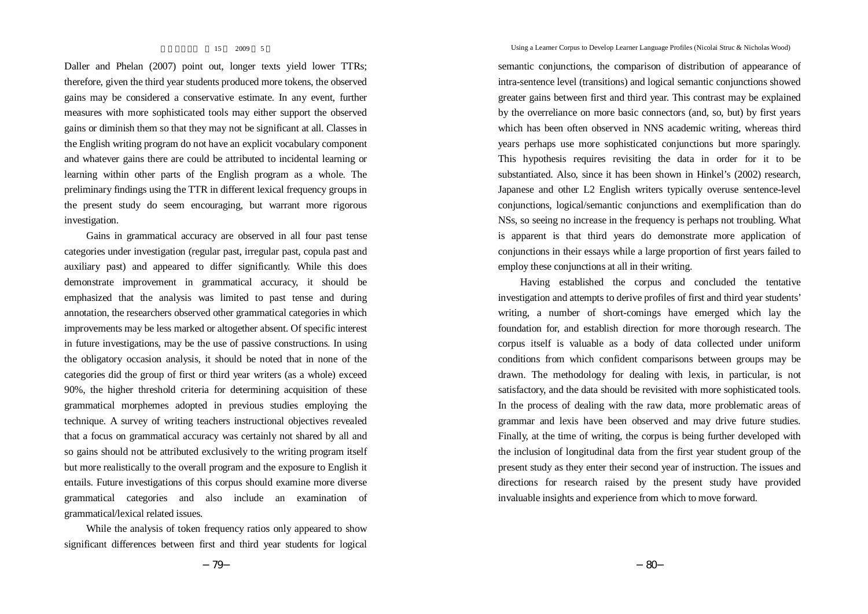Daller and Phelan (2007) point out, longer texts yield lower TTRs; therefore, given the third year students produced more tokens, the observed gains may be considered a conservative estimate. In any event, further measures with more sophisticated tools may either support the observed gains or diminish them so that they may not be significant at all. Classes in the English writing program do not have an explicit vocabulary component and whatever gains there are could be attributed to incidental learning or learning within other parts of the English program as a whole. The preliminary findings using the TTR in different lexical frequency groups in the present study do seem encouraging, but warrant more rigorous investigation.

Gains in grammatical accuracy are observed in all four past tense categories under investigation (regular past, irregular past, copula past and auxiliary past) and appeared to differ significantly. While this does demonstrate improvement in grammatical accuracy, it should be emphasized that the analysis was limited to past tense and during annotation, the researchers observed other grammatical categories in which improvements may be less marked or altogether absent. Of specific interest in future investigations, may be the use of passive constructions. In using the obligatory occasion analysis, it should be noted that in none of the categories did the group of first or third year writers (as a whole) exceed 90%, the higher threshold criteria for determining acquisition of these grammatical morphemes adopted in previous studies employing the technique. A survey of writing teachers instructional objectives revealed that a focus on grammatical accuracy was certainly not shared by all and so gains should not be attributed exclusively to the writing program itself but more realistically to the overall program and the exposure to English it entails. Future investigations of this corpus should examine more diverse grammatical categories and also include an examination of grammatical/lexical related issues.

While the analysis of token frequency ratios only appeared to show significant differences between first and third year students for logical Using a Learner Corpus to Develop Learner Language Profiles (Nicolai Struc & Nicholas Wood)

semantic conjunctions, the comparison of distribution of appearance of intra-sentence level (transitions) and logical semantic conjunctions showed greater gains between first and third year. This contrast may be explained by the overreliance on more basic connectors (and, so, but) by first years which has been often observed in NNS academic writing, whereas third years perhaps use more sophisticated conjunctions but more sparingly. This hypothesis requires revisiting the data in order for it to be substantiated. Also, since it has been shown in Hinkel's (2002) research, Japanese and other L2 English writers typically overuse sentence-level conjunctions, logical/semantic conjunctions and exemplification than do NSs, so seeing no increase in the frequency is perhaps not troubling. What is apparent is that third years do demonstrate more application of conjunctions in their essays while a large proportion of first years failed to employ these conjunctions at all in their writing.

Having established the corpus and concluded the tentative investigation and attempts to derive profiles of first and third year students' writing, a number of short-comings have emerged which lay the foundation for, and establish direction for more thorough research. The corpus itself is valuable as a body of data collected under uniform conditions from which confident comparisons between groups may be drawn. The methodology for dealing with lexis, in particular, is not satisfactory, and the data should be revisited with more sophisticated tools. In the process of dealing with the raw data, more problematic areas of grammar and lexis have been observed and may drive future studies. Finally, at the time of writing, the corpus is being further developed with the inclusion of longitudinal data from the first year student group of the present study as they enter their second year of instruction. The issues and directions for research raised by the present study have provided invaluable insights and experience from which to move forward.